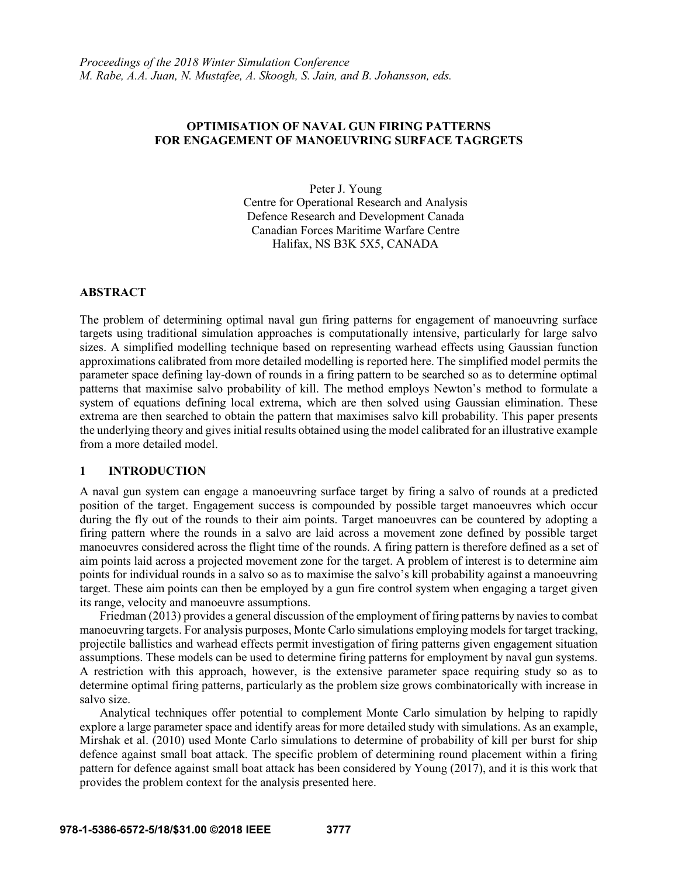# **OPTIMISATION OF NAVAL GUN FIRING PATTERNS FOR ENGAGEMENT OF MANOEUVRING SURFACE TAGRGETS**

Peter J. Young Centre for Operational Research and Analysis Defence Research and Development Canada Canadian Forces Maritime Warfare Centre Halifax, NS B3K 5X5, CANADA

# **ABSTRACT**

The problem of determining optimal naval gun firing patterns for engagement of manoeuvring surface targets using traditional simulation approaches is computationally intensive, particularly for large salvo sizes. A simplified modelling technique based on representing warhead effects using Gaussian function approximations calibrated from more detailed modelling is reported here. The simplified model permits the parameter space defining lay-down of rounds in a firing pattern to be searched so as to determine optimal patterns that maximise salvo probability of kill. The method employs Newton's method to formulate a system of equations defining local extrema, which are then solved using Gaussian elimination. These extrema are then searched to obtain the pattern that maximises salvo kill probability. This paper presents the underlying theory and gives initial results obtained using the model calibrated for an illustrative example from a more detailed model.

### **1 INTRODUCTION**

A naval gun system can engage a manoeuvring surface target by firing a salvo of rounds at a predicted position of the target. Engagement success is compounded by possible target manoeuvres which occur during the fly out of the rounds to their aim points. Target manoeuvres can be countered by adopting a firing pattern where the rounds in a salvo are laid across a movement zone defined by possible target manoeuvres considered across the flight time of the rounds. A firing pattern is therefore defined as a set of aim points laid across a projected movement zone for the target. A problem of interest is to determine aim points for individual rounds in a salvo so as to maximise the salvo's kill probability against a manoeuvring target. These aim points can then be employed by a gun fire control system when engaging a target given its range, velocity and manoeuvre assumptions.

Friedman (2013) provides a general discussion of the employment of firing patterns by navies to combat manoeuvring targets. For analysis purposes, Monte Carlo simulations employing models for target tracking, projectile ballistics and warhead effects permit investigation of firing patterns given engagement situation assumptions. These models can be used to determine firing patterns for employment by naval gun systems. A restriction with this approach, however, is the extensive parameter space requiring study so as to determine optimal firing patterns, particularly as the problem size grows combinatorically with increase in salvo size.

Analytical techniques offer potential to complement Monte Carlo simulation by helping to rapidly explore a large parameter space and identify areas for more detailed study with simulations. As an example, Mirshak et al. (2010) used Monte Carlo simulations to determine of probability of kill per burst for ship defence against small boat attack. The specific problem of determining round placement within a firing pattern for defence against small boat attack has been considered by Young (2017), and it is this work that provides the problem context for the analysis presented here.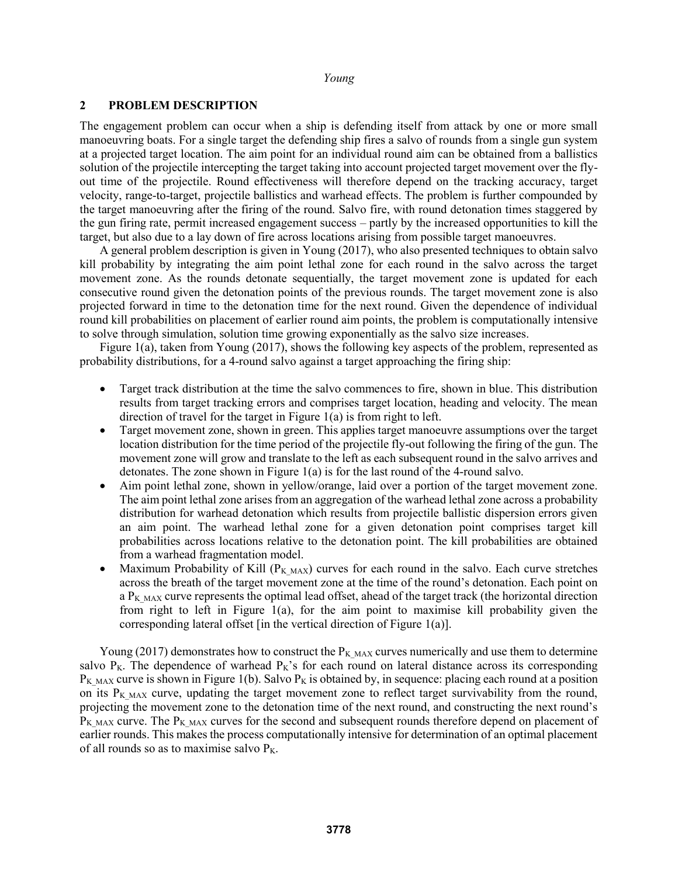### **2 PROBLEM DESCRIPTION**

The engagement problem can occur when a ship is defending itself from attack by one or more small manoeuvring boats. For a single target the defending ship fires a salvo of rounds from a single gun system at a projected target location. The aim point for an individual round aim can be obtained from a ballistics solution of the projectile intercepting the target taking into account projected target movement over the flyout time of the projectile. Round effectiveness will therefore depend on the tracking accuracy, target velocity, range-to-target, projectile ballistics and warhead effects. The problem is further compounded by the target manoeuvring after the firing of the round. Salvo fire, with round detonation times staggered by the gun firing rate, permit increased engagement success – partly by the increased opportunities to kill the target, but also due to a lay down of fire across locations arising from possible target manoeuvres.

A general problem description is given in Young (2017), who also presented techniques to obtain salvo kill probability by integrating the aim point lethal zone for each round in the salvo across the target movement zone. As the rounds detonate sequentially, the target movement zone is updated for each consecutive round given the detonation points of the previous rounds. The target movement zone is also projected forward in time to the detonation time for the next round. Given the dependence of individual round kill probabilities on placement of earlier round aim points, the problem is computationally intensive to solve through simulation, solution time growing exponentially as the salvo size increases.

Figure 1(a), taken from Young (2017), shows the following key aspects of the problem, represented as probability distributions, for a 4-round salvo against a target approaching the firing ship:

- Target track distribution at the time the salvo commences to fire, shown in blue. This distribution results from target tracking errors and comprises target location, heading and velocity. The mean direction of travel for the target in Figure 1(a) is from right to left.
- Target movement zone, shown in green. This applies target manoeuvre assumptions over the target location distribution for the time period of the projectile fly-out following the firing of the gun. The movement zone will grow and translate to the left as each subsequent round in the salvo arrives and detonates. The zone shown in Figure 1(a) is for the last round of the 4-round salvo.
- Aim point lethal zone, shown in yellow/orange, laid over a portion of the target movement zone. The aim point lethal zone arises from an aggregation of the warhead lethal zone across a probability distribution for warhead detonation which results from projectile ballistic dispersion errors given an aim point. The warhead lethal zone for a given detonation point comprises target kill probabilities across locations relative to the detonation point. The kill probabilities are obtained from a warhead fragmentation model.
- Maximum Probability of Kill ( $P_{KMAX}$ ) curves for each round in the salvo. Each curve stretches across the breath of the target movement zone at the time of the round's detonation. Each point on a  $P_{KMAX}$  curve represents the optimal lead offset, ahead of the target track (the horizontal direction from right to left in Figure 1(a), for the aim point to maximise kill probability given the corresponding lateral offset [in the vertical direction of Figure 1(a)].

Young (2017) demonstrates how to construct the  $P_{KMAX}$  curves numerically and use them to determine salvo  $P_K$ . The dependence of warhead  $P_K$ 's for each round on lateral distance across its corresponding  $P_{KMAX}$  curve is shown in Figure 1(b). Salvo  $P_K$  is obtained by, in sequence: placing each round at a position on its  $P_{KMAX}$  curve, updating the target movement zone to reflect target survivability from the round, projecting the movement zone to the detonation time of the next round, and constructing the next round's  $P_{KMAX}$  curve. The  $P_{KMAX}$  curves for the second and subsequent rounds therefore depend on placement of earlier rounds. This makes the process computationally intensive for determination of an optimal placement of all rounds so as to maximise salvo  $P_K$ .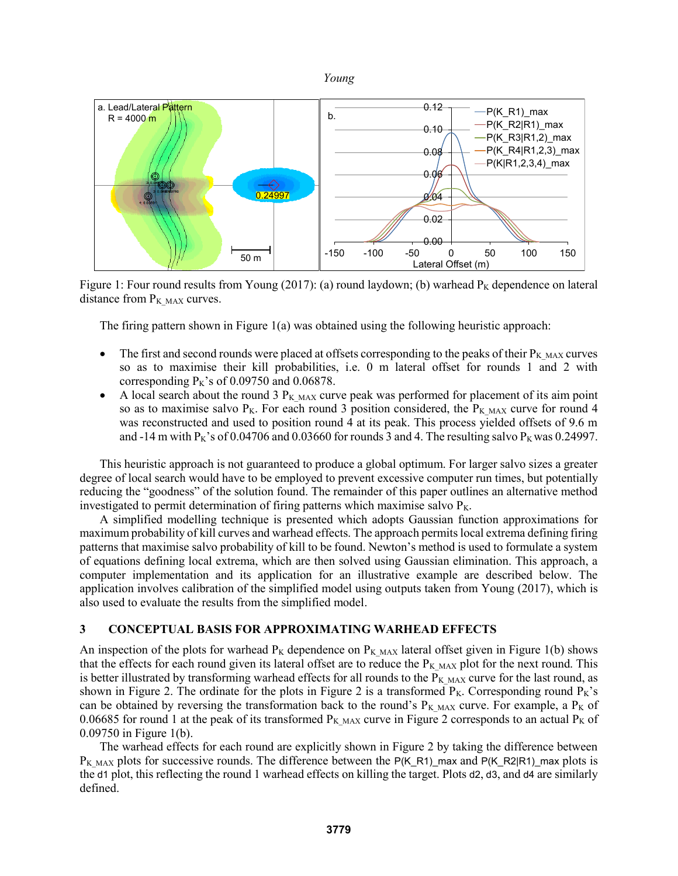



Figure 1: Four round results from Young (2017): (a) round laydown; (b) warhead  $P<sub>K</sub>$  dependence on lateral distance from  $P_{KMAX}$  curves.

The firing pattern shown in Figure 1(a) was obtained using the following heuristic approach:

- The first and second rounds were placed at offsets corresponding to the peaks of their  $P_{K~MAX}$  curves so as to maximise their kill probabilities, i.e. 0 m lateral offset for rounds 1 and 2 with corresponding  $P_K$ 's of 0.09750 and 0.06878.
- A local search about the round 3  $P_{KMAX}$  curve peak was performed for placement of its aim point so as to maximise salvo P<sub>K</sub>. For each round 3 position considered, the P<sub>K MAX</sub> curve for round 4 was reconstructed and used to position round 4 at its peak. This process yielded offsets of 9.6 m and -14 m with  $P_K$ 's of 0.04706 and 0.03660 for rounds 3 and 4. The resulting salvo  $P_K$  was 0.24997.

This heuristic approach is not guaranteed to produce a global optimum. For larger salvo sizes a greater degree of local search would have to be employed to prevent excessive computer run times, but potentially reducing the "goodness" of the solution found. The remainder of this paper outlines an alternative method investigated to permit determination of firing patterns which maximise salvo  $P_K$ .

A simplified modelling technique is presented which adopts Gaussian function approximations for maximum probability of kill curves and warhead effects. The approach permits local extrema defining firing patterns that maximise salvo probability of kill to be found. Newton's method is used to formulate a system of equations defining local extrema, which are then solved using Gaussian elimination. This approach, a computer implementation and its application for an illustrative example are described below. The application involves calibration of the simplified model using outputs taken from Young (2017), which is also used to evaluate the results from the simplified model.

# **3 CONCEPTUAL BASIS FOR APPROXIMATING WARHEAD EFFECTS**

An inspection of the plots for warhead  $P_K$  dependence on  $P_K$  MAX lateral offset given in Figure 1(b) shows that the effects for each round given its lateral offset are to reduce the  $P_{KMAX}$  plot for the next round. This is better illustrated by transforming warhead effects for all rounds to the  $P_K$   $_{MAX}$  curve for the last round, as shown in Figure 2. The ordinate for the plots in Figure 2 is a transformed  $P_K$ . Corresponding round  $P_K$ 's can be obtained by reversing the transformation back to the round's  $P_{K MAX}$  curve. For example, a  $P_{K 0}$  of 0.06685 for round 1 at the peak of its transformed  $P_{KMAX}$  curve in Figure 2 corresponds to an actual  $P_K$  of 0.09750 in Figure 1(b).

The warhead effects for each round are explicitly shown in Figure 2 by taking the difference between  $P_{KMAX}$  plots for successive rounds. The difference between the P(K\_R1)\_max and P(K\_R2|R1)\_max plots is the d1 plot, this reflecting the round 1 warhead effects on killing the target. Plots d2, d3, and d4 are similarly defined.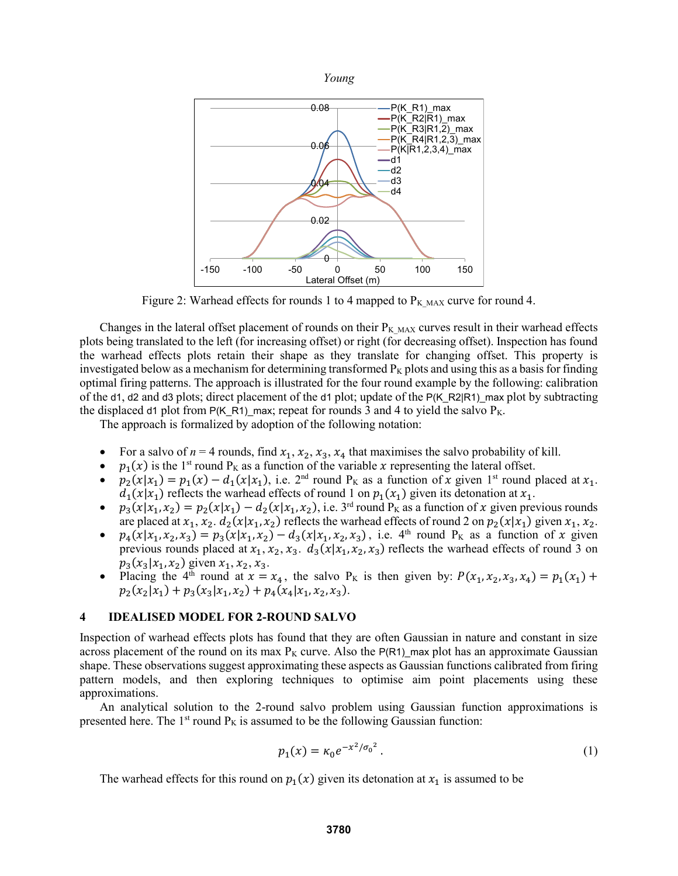

Figure 2: Warhead effects for rounds 1 to 4 mapped to  $P_{K MAX}$  curve for round 4.

Changes in the lateral offset placement of rounds on their  $P_{KMAX}$  curves result in their warhead effects plots being translated to the left (for increasing offset) or right (for decreasing offset). Inspection has found the warhead effects plots retain their shape as they translate for changing offset. This property is investigated below as a mechanism for determining transformed  $P<sub>K</sub>$  plots and using this as a basis for finding optimal firing patterns. The approach is illustrated for the four round example by the following: calibration of the d1, d2 and d3 plots; direct placement of the d1 plot; update of the P(K\_R2|R1)\_max plot by subtracting the displaced d1 plot from P(K\_R1)\_max; repeat for rounds 3 and 4 to yield the salvo  $P_K$ .

The approach is formalized by adoption of the following notation:

- For a salvo of  $n = 4$  rounds, find  $x_1, x_2, x_3, x_4$  that maximises the salvo probability of kill.
- $p_1(x)$  is the 1<sup>st</sup> round P<sub>K</sub> as a function of the variable x representing the lateral offset.
- $p_2(x|x_1) = p_1(x) d_1(x|x_1)$ , i.e.  $2<sup>nd</sup>$  round P<sub>K</sub> as a function of x given 1<sup>st</sup> round placed at  $x_1$ .  $d_1(x|x_1)$  reflects the warhead effects of round 1 on  $p_1(x_1)$  given its detonation at  $x_1$ .
- $p_3(x|x_1, x_2) = p_2(x|x_1) d_2(x|x_1, x_2)$ , i.e. 3<sup>rd</sup> round P<sub>K</sub> as a function of x given previous rounds are placed at  $x_1, x_2, d_2(x|x_1, x_2)$  reflects the warhead effects of round 2 on  $p_2(x|x_1)$  given  $x_1, x_2$ .
- $p_4(x|x_1, x_2, x_3) = p_3(x|x_1, x_2) d_3(x|x_1, x_2, x_3)$ , i.e. 4<sup>th</sup> round P<sub>K</sub> as a function of x given previous rounds placed at  $x_1, x_2, x_3$ .  $d_3(x|x_1, x_2, x_3)$  reflects the warhead effects of round 3 on  $p_3(x_3|x_1, x_2)$  given  $x_1, x_2, x_3$ .
- Placing the 4<sup>th</sup> round at  $x = x_4$ , the salvo P<sub>K</sub> is then given by:  $P(x_1, x_2, x_3, x_4) = p_1(x_1) + p_2(x_2, x_3, x_4)$  $p_2(x_2|x_1) + p_3(x_3|x_1, x_2) + p_4(x_4|x_1, x_2, x_3).$

# **4 IDEALISED MODEL FOR 2-ROUND SALVO**

Inspection of warhead effects plots has found that they are often Gaussian in nature and constant in size across placement of the round on its max  $P<sub>K</sub>$  curve. Also the  $P(R1)$  max plot has an approximate Gaussian shape. These observations suggest approximating these aspects as Gaussian functions calibrated from firing pattern models, and then exploring techniques to optimise aim point placements using these approximations.

An analytical solution to the 2-round salvo problem using Gaussian function approximations is presented here. The  $1<sup>st</sup>$  round  $P<sub>K</sub>$  is assumed to be the following Gaussian function:

$$
p_1(x) = \kappa_0 e^{-x^2/\sigma_0^2} \,. \tag{1}
$$

The warhead effects for this round on  $p_1(x)$  given its detonation at  $x_1$  is assumed to be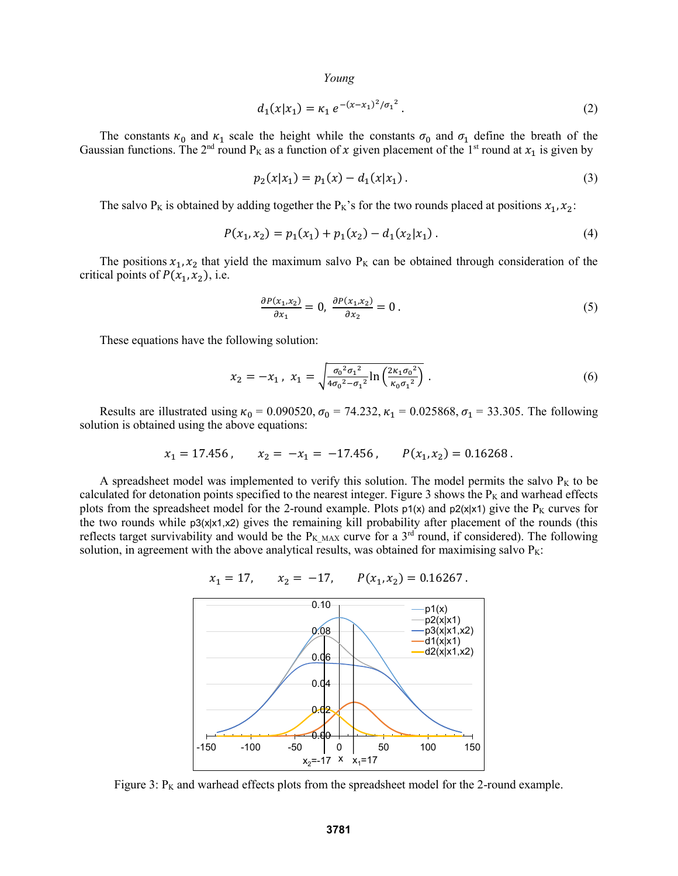$$
d_1(x|x_1) = \kappa_1 e^{-(x-x_1)^2/\sigma_1^2}.
$$
 (2)

The constants  $\kappa_0$  and  $\kappa_1$  scale the height while the constants  $\sigma_0$  and  $\sigma_1$  define the breath of the Gaussian functions. The 2<sup>nd</sup> round P<sub>K</sub> as a function of x given placement of the 1<sup>st</sup> round at  $x_1$  is given by

$$
p_2(x|x_1) = p_1(x) - d_1(x|x_1).
$$
 (3)

The salvo P<sub>K</sub> is obtained by adding together the P<sub>K</sub>'s for the two rounds placed at positions  $x_1, x_2$ :

$$
P(x_1, x_2) = p_1(x_1) + p_1(x_2) - d_1(x_2|x_1).
$$
\n(4)

The positions  $x_1, x_2$  that yield the maximum salvo  $P_K$  can be obtained through consideration of the critical points of  $P(x_1, x_2)$ , i.e.

$$
\frac{\partial P(x_1, x_2)}{\partial x_1} = 0, \quad \frac{\partial P(x_1, x_2)}{\partial x_2} = 0 \tag{5}
$$

These equations have the following solution:

$$
x_2 = -x_1, \ x_1 = \sqrt{\frac{\sigma_0^2 \sigma_1^2}{4 \sigma_0^2 - \sigma_1^2} \ln \left( \frac{2 \kappa_1 \sigma_0^2}{\kappa_0 \sigma_1^2} \right)} \ . \tag{6}
$$

Results are illustrated using  $\kappa_0 = 0.090520$ ,  $\sigma_0 = 74.232$ ,  $\kappa_1 = 0.025868$ ,  $\sigma_1 = 33.305$ . The following solution is obtained using the above equations:

$$
x_1 = 17.456
$$
,  $x_2 = -x_1 = -17.456$ ,  $P(x_1, x_2) = 0.16268$ .

A spreadsheet model was implemented to verify this solution. The model permits the salvo  $P<sub>K</sub>$  to be calculated for detonation points specified to the nearest integer. Figure 3 shows the  $P_k$  and warhead effects plots from the spreadsheet model for the 2-round example. Plots  $p_1(x)$  and  $p_2(x|x_1)$  give the P<sub>K</sub> curves for the two rounds while p3(x|x1,x2) gives the remaining kill probability after placement of the rounds (this reflects target survivability and would be the P<sub>K MAX</sub> curve for a 3<sup>rd</sup> round, if considered). The following solution, in agreement with the above analytical results, was obtained for maximising salvo  $P_K$ :



Figure 3:  $P_K$  and warhead effects plots from the spreadsheet model for the 2-round example.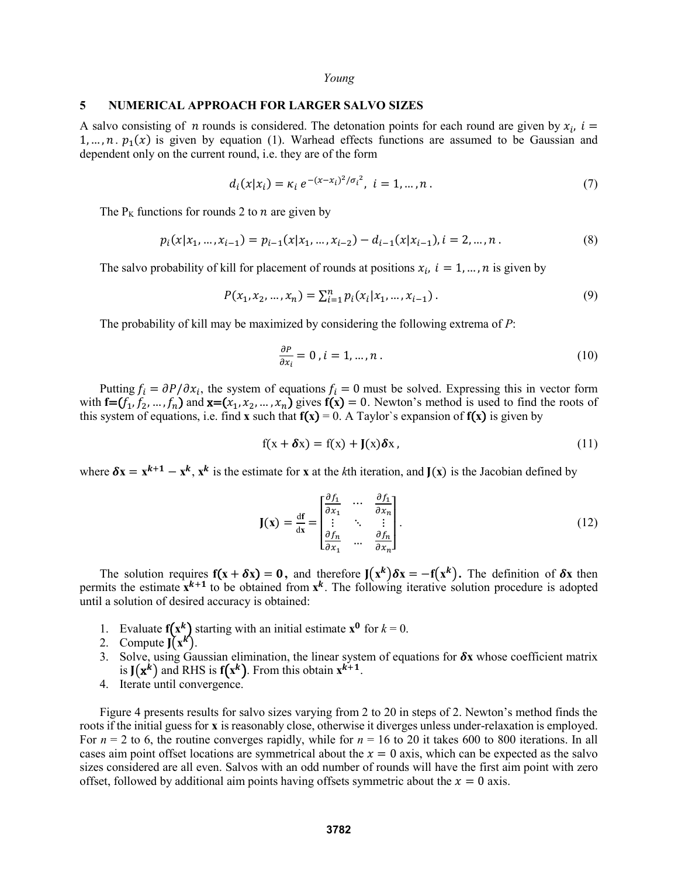#### **5 NUMERICAL APPROACH FOR LARGER SALVO SIZES**

A salvo consisting of *n* rounds is considered. The detonation points for each round are given by  $x_i$ ,  $i =$ 1, ...,  $n \cdot p_1(x)$  is given by equation (1). Warhead effects functions are assumed to be Gaussian and dependent only on the current round, i.e. they are of the form

$$
d_i(x|x_i) = \kappa_i \, e^{-(x-x_i)^2/\sigma_i^2}, \ i = 1, \dots, n \,. \tag{7}
$$

The  $P<sub>K</sub>$  functions for rounds 2 to *n* are given by

$$
p_i(x|x_1, ..., x_{i-1}) = p_{i-1}(x|x_1, ..., x_{i-2}) - d_{i-1}(x|x_{i-1}), i = 2, ..., n.
$$
\n(8)

The salvo probability of kill for placement of rounds at positions  $x_i$ ,  $i = 1, ..., n$  is given by

$$
P(x_1, x_2, ..., x_n) = \sum_{i=1}^n p_i(x_i | x_1, ..., x_{i-1}).
$$
\n(9)

The probability of kill may be maximized by considering the following extrema of *P*:

$$
\frac{\partial P}{\partial x_i} = 0, i = 1, \dots, n \tag{10}
$$

Putting  $f_i = \partial P / \partial x_i$ , the system of equations  $f_i = 0$  must be solved. Expressing this in vector form with  $f=(f_1, f_2, ..., f_n)$  and  $\mathbf{x}=(x_1, x_2, ..., x_n)$  gives  $f(\mathbf{x})=0$ . Newton's method is used to find the roots of this system of equations, i.e. find **x** such that  $f(x) = 0$ . A Taylor's expansion of  $f(x)$  is given by

$$
f(x + \delta x) = f(x) + J(x)\delta x, \qquad (11)
$$

where  $\delta x = x^{k+1} - x^k$ ,  $x^k$  is the estimate for x at the *k*th iteration, and  $J(x)$  is the Jacobian defined by

$$
\mathbf{J}(\mathbf{x}) = \frac{df}{dx} = \begin{bmatrix} \frac{\partial f_1}{\partial x_1} & \cdots & \frac{\partial f_1}{\partial x_n} \\ \vdots & \ddots & \vdots \\ \frac{\partial f_n}{\partial x_1} & \cdots & \frac{\partial f_n}{\partial x_n} \end{bmatrix} .
$$
 (12)

The solution requires  $f(x + \delta x) = 0$ , and therefore  $J(x^k)\delta x = -f(x^k)$ . The definition of  $\delta x$  then permits the estimate  $\mathbf{x}^{k+1}$  to be obtained from  $\mathbf{x}^k$ . The following iterative solution procedure is adopted until a solution of desired accuracy is obtained:

- 1. Evaluate  $f(x^k)$  starting with an initial estimate  $x^0$  for  $k = 0$ .
- 2. Compute  $J(x^k)$ .
- 3. Solve, using Gaussian elimination, the linear system of equations for  $\delta x$  whose coefficient matrix is  $J(x^k)$  and RHS is  $f(x^k)$ . From this obtain  $x^{k+1}$ .
- 4. Iterate until convergence.

Figure 4 presents results for salvo sizes varying from 2 to 20 in steps of 2. Newton's method finds the roots if the initial guess for **x** is reasonably close, otherwise it diverges unless under-relaxation is employed. For  $n = 2$  to 6, the routine converges rapidly, while for  $n = 16$  to 20 it takes 600 to 800 iterations. In all cases aim point offset locations are symmetrical about the  $x = 0$  axis, which can be expected as the salvo sizes considered are all even. Salvos with an odd number of rounds will have the first aim point with zero offset, followed by additional aim points having offsets symmetric about the  $x = 0$  axis.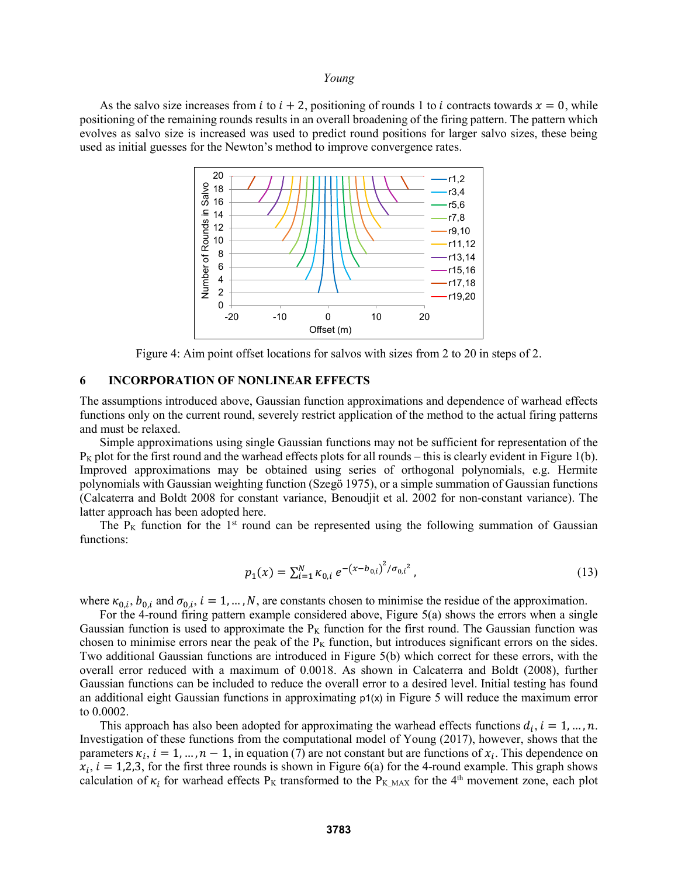As the salvo size increases from *i* to  $i + 2$ , positioning of rounds 1 to *i* contracts towards  $x = 0$ , while positioning of the remaining rounds results in an overall broadening of the firing pattern. The pattern which evolves as salvo size is increased was used to predict round positions for larger salvo sizes, these being used as initial guesses for the Newton's method to improve convergence rates.



Figure 4: Aim point offset locations for salvos with sizes from 2 to 20 in steps of 2.

#### **6 INCORPORATION OF NONLINEAR EFFECTS**

The assumptions introduced above, Gaussian function approximations and dependence of warhead effects functions only on the current round, severely restrict application of the method to the actual firing patterns and must be relaxed.

Simple approximations using single Gaussian functions may not be sufficient for representation of the  $P_K$  plot for the first round and the warhead effects plots for all rounds – this is clearly evident in Figure 1(b). Improved approximations may be obtained using series of orthogonal polynomials, e.g. Hermite polynomials with Gaussian weighting function (Szegö 1975), or a simple summation of Gaussian functions (Calcaterra and Boldt 2008 for constant variance, Benoudjit et al. 2002 for non-constant variance). The latter approach has been adopted here.

The  $P_K$  function for the 1<sup>st</sup> round can be represented using the following summation of Gaussian functions:

$$
p_1(x) = \sum_{i=1}^{N} \kappa_{0,i} e^{-(x - b_{0,i})^2 / \sigma_{0,i}^2},
$$
\n(13)

where  $\kappa_{0,i}$ ,  $b_{0,i}$  and  $\sigma_{0,i}$ ,  $i = 1, ..., N$ , are constants chosen to minimise the residue of the approximation.

For the 4-round firing pattern example considered above, Figure 5(a) shows the errors when a single Gaussian function is used to approximate the  $P_K$  function for the first round. The Gaussian function was chosen to minimise errors near the peak of the  $P_K$  function, but introduces significant errors on the sides. Two additional Gaussian functions are introduced in Figure 5(b) which correct for these errors, with the overall error reduced with a maximum of 0.0018. As shown in Calcaterra and Boldt (2008), further Gaussian functions can be included to reduce the overall error to a desired level. Initial testing has found an additional eight Gaussian functions in approximating  $p_1(x)$  in Figure 5 will reduce the maximum error to 0.0002.

This approach has also been adopted for approximating the warhead effects functions  $d_i$ ,  $i = 1, ..., n$ . Investigation of these functions from the computational model of Young (2017), however, shows that the parameters  $\kappa_i$ ,  $i = 1, ..., n - 1$ , in equation (7) are not constant but are functions of  $x_i$ . This dependence on  $x_i$ ,  $i = 1,2,3$ , for the first three rounds is shown in Figure 6(a) for the 4-round example. This graph shows calculation of  $\kappa_i$  for warhead effects P<sub>K</sub> transformed to the P<sub>K\_MAX</sub> for the 4<sup>th</sup> movement zone, each plot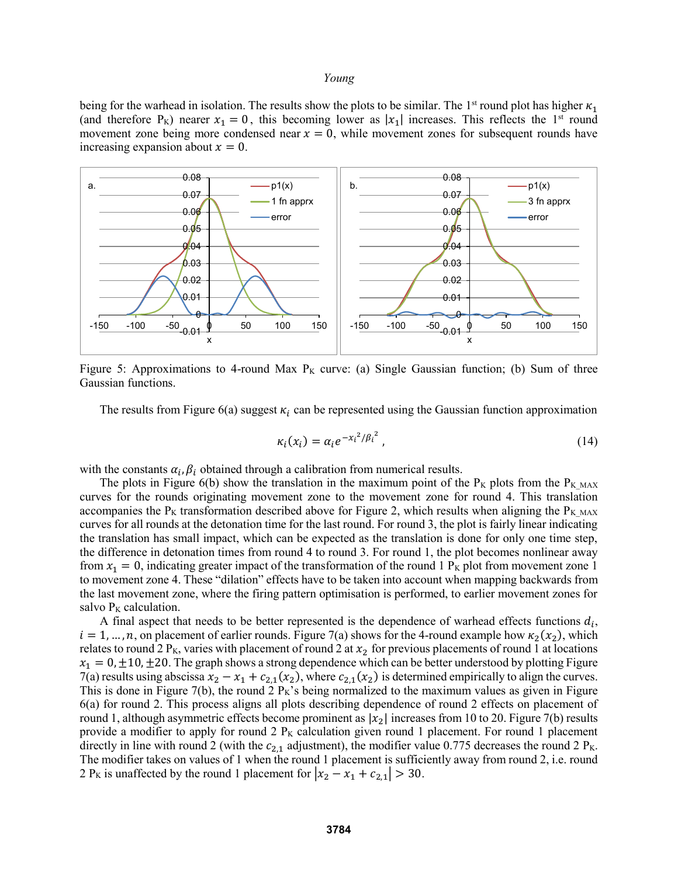being for the warhead in isolation. The results show the plots to be similar. The 1<sup>st</sup> round plot has higher  $\kappa_1$ (and therefore P<sub>K</sub>) nearer  $x_1 = 0$ , this becoming lower as  $|x_1|$  increases. This reflects the 1<sup>st</sup> round movement zone being more condensed near  $x = 0$ , while movement zones for subsequent rounds have increasing expansion about  $x = 0$ .



Figure 5: Approximations to 4-round Max  $P_K$  curve: (a) Single Gaussian function; (b) Sum of three Gaussian functions.

The results from Figure 6(a) suggest  $\kappa_i$  can be represented using the Gaussian function approximation

$$
\kappa_i(x_i) = \alpha_i e^{-x_i^2/\beta_i^2},\tag{14}
$$

with the constants  $\alpha_i$ ,  $\beta_i$  obtained through a calibration from numerical results.

The plots in Figure 6(b) show the translation in the maximum point of the P<sub>K</sub> plots from the P<sub>K MAX</sub> curves for the rounds originating movement zone to the movement zone for round 4. This translation accompanies the P<sub>K</sub> transformation described above for Figure 2, which results when aligning the P<sub>K MAX</sub> curves for all rounds at the detonation time for the last round. For round 3, the plot is fairly linear indicating the translation has small impact, which can be expected as the translation is done for only one time step, the difference in detonation times from round 4 to round 3. For round 1, the plot becomes nonlinear away from  $x_1 = 0$ , indicating greater impact of the transformation of the round 1 P<sub>K</sub> plot from movement zone 1 to movement zone 4. These "dilation" effects have to be taken into account when mapping backwards from the last movement zone, where the firing pattern optimisation is performed, to earlier movement zones for salvo  $P<sub>K</sub>$  calculation.

A final aspect that needs to be better represented is the dependence of warhead effects functions  $d_i$ ,  $i = 1, ..., n$ , on placement of earlier rounds. Figure 7(a) shows for the 4-round example how  $\kappa_2(x_2)$ , which relates to round 2 P<sub>K</sub>, varies with placement of round 2 at  $x_2$  for previous placements of round 1 at locations  $x_1 = 0, \pm 10, \pm 20$ . The graph shows a strong dependence which can be better understood by plotting Figure 7(a) results using abscissa  $x_2 - x_1 + c_{2,1}(x_2)$ , where  $c_{2,1}(x_2)$  is determined empirically to align the curves. This is done in Figure 7(b), the round  $2 P_K$ 's being normalized to the maximum values as given in Figure 6(a) for round 2. This process aligns all plots describing dependence of round 2 effects on placement of round 1, although asymmetric effects become prominent as  $|x_2|$  increases from 10 to 20. Figure 7(b) results provide a modifier to apply for round 2  $P<sub>K</sub>$  calculation given round 1 placement. For round 1 placement directly in line with round 2 (with the  $c_{2,1}$  adjustment), the modifier value 0.775 decreases the round 2 P<sub>K</sub>. The modifier takes on values of 1 when the round 1 placement is sufficiently away from round 2, i.e. round 2 P<sub>K</sub> is unaffected by the round 1 placement for  $|x_2 - x_1 + c_{2,1}| > 30$ .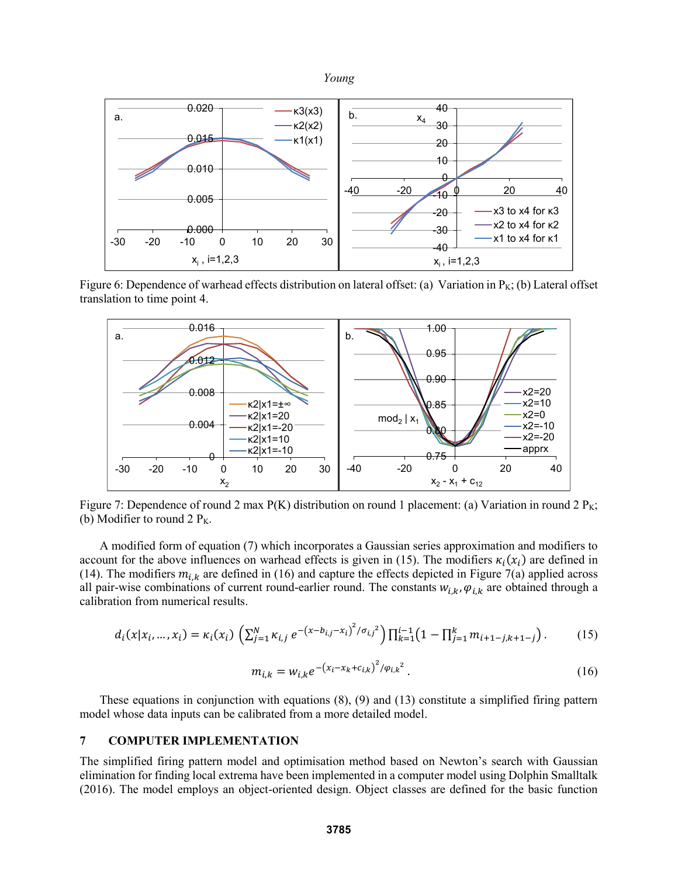

Figure 6: Dependence of warhead effects distribution on lateral offset: (a) Variation in  $P_K$ ; (b) Lateral offset translation to time point 4.



Figure 7: Dependence of round 2 max  $P(K)$  distribution on round 1 placement: (a) Variation in round 2  $P_K$ ; (b) Modifier to round 2  $P_K$ .

A modified form of equation (7) which incorporates a Gaussian series approximation and modifiers to account for the above influences on warhead effects is given in (15). The modifiers  $\kappa_i(x_i)$  are defined in (14). The modifiers  $m_{i,k}$  are defined in (16) and capture the effects depicted in Figure 7(a) applied across all pair-wise combinations of current round-earlier round. The constants  $w_{i,k}$ ,  $\varphi_{i,k}$  are obtained through a calibration from numerical results.

$$
d_i(x|x_i,\ldots,x_i) = \kappa_i(x_i) \left( \sum_{j=1}^N \kappa_{i,j} e^{-\left(x - b_{i,j} - x_i\right)^2 / \sigma_{i,j}^2} \right) \prod_{k=1}^{i-1} \left(1 - \prod_{j=1}^k m_{i+1-j,k+1-j}\right).
$$
 (15)

$$
m_{i,k} = w_{i,k} e^{-\left(x_i - x_k + c_{i,k}\right)^2 / \varphi_{i,k}^2}.
$$
 (16)

These equations in conjunction with equations (8), (9) and (13) constitute a simplified firing pattern model whose data inputs can be calibrated from a more detailed model.

# **7 COMPUTER IMPLEMENTATION**

The simplified firing pattern model and optimisation method based on Newton's search with Gaussian elimination for finding local extrema have been implemented in a computer model using Dolphin Smalltalk (2016). The model employs an object-oriented design. Object classes are defined for the basic function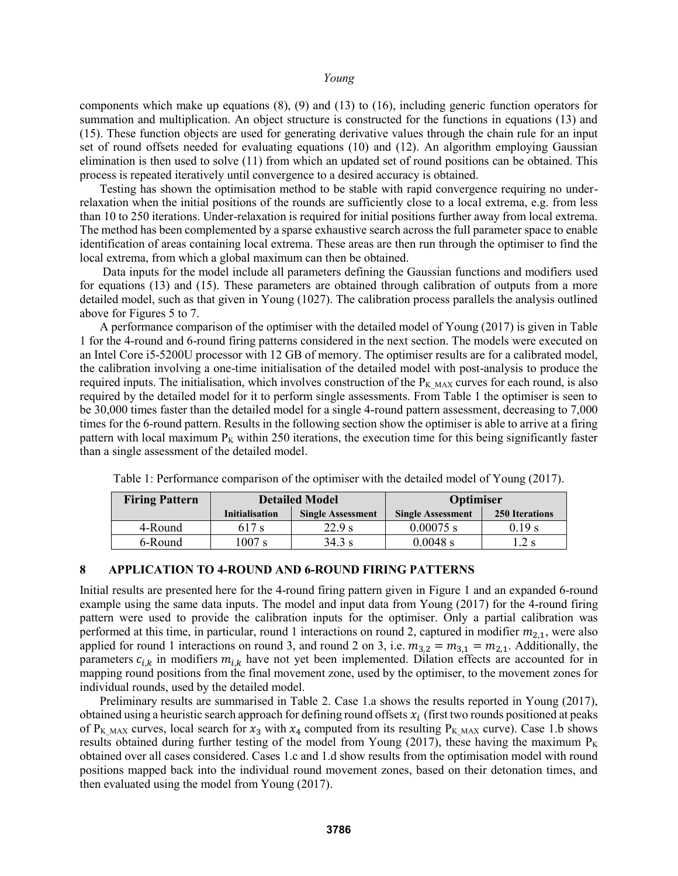components which make up equations (8), (9) and (13) to (16), including generic function operators for summation and multiplication. An object structure is constructed for the functions in equations (13) and (15). These function objects are used for generating derivative values through the chain rule for an input set of round offsets needed for evaluating equations (10) and (12). An algorithm employing Gaussian elimination is then used to solve (11) from which an updated set of round positions can be obtained. This process is repeated iteratively until convergence to a desired accuracy is obtained.

Testing has shown the optimisation method to be stable with rapid convergence requiring no underrelaxation when the initial positions of the rounds are sufficiently close to a local extrema, e.g. from less than 10 to 250 iterations. Under-relaxation is required for initial positions further away from local extrema. The method has been complemented by a sparse exhaustive search across the full parameter space to enable identification of areas containing local extrema. These areas are then run through the optimiser to find the local extrema, from which a global maximum can then be obtained.

Data inputs for the model include all parameters defining the Gaussian functions and modifiers used for equations (13) and (15). These parameters are obtained through calibration of outputs from a more detailed model, such as that given in Young (1027). The calibration process parallels the analysis outlined above for Figures 5 to 7.

A performance comparison of the optimiser with the detailed model of Young (2017) is given in Table 1 for the 4-round and 6-round firing patterns considered in the next section. The models were executed on an Intel Core i5-5200U processor with 12 GB of memory. The optimiser results are for a calibrated model, the calibration involving a one-time initialisation of the detailed model with post-analysis to produce the required inputs. The initialisation, which involves construction of the  $P_{KMAX}$  curves for each round, is also required by the detailed model for it to perform single assessments. From Table 1 the optimiser is seen to be 30,000 times faster than the detailed model for a single 4-round pattern assessment, decreasing to 7,000 times for the 6-round pattern. Results in the following section show the optimiser is able to arrive at a firing pattern with local maximum  $P_K$  within 250 iterations, the execution time for this being significantly faster than a single assessment of the detailed model.

| <b>Firing Pattern</b> | <b>Detailed Model</b> |                          | <b>Optimiser</b>         |                       |  |
|-----------------------|-----------------------|--------------------------|--------------------------|-----------------------|--|
|                       | <b>Initialisation</b> | <b>Single Assessment</b> | <b>Single Assessment</b> | <b>250 Iterations</b> |  |
| 4-Round               | 617 s                 | 22.9 s                   | $0.00075$ s              | 0.19 s                |  |
| 6-Round               | $1007$ s              | $34.3$ s                 | $0.0048$ s               | $.2$ s                |  |

Table 1: Performance comparison of the optimiser with the detailed model of Young (2017).

#### **8 APPLICATION TO 4-ROUND AND 6-ROUND FIRING PATTERNS**

Initial results are presented here for the 4-round firing pattern given in Figure 1 and an expanded 6-round example using the same data inputs. The model and input data from Young (2017) for the 4-round firing pattern were used to provide the calibration inputs for the optimiser. Only a partial calibration was performed at this time, in particular, round 1 interactions on round 2, captured in modifier  $m_{2,1}$ , were also applied for round 1 interactions on round 3, and round 2 on 3, i.e.  $m_{3,2} = m_{3,1} = m_{2,1}$ . Additionally, the parameters  $c_{i,k}$  in modifiers  $m_{i,k}$  have not yet been implemented. Dilation effects are accounted for in mapping round positions from the final movement zone, used by the optimiser, to the movement zones for individual rounds, used by the detailed model.

Preliminary results are summarised in Table 2. Case 1.a shows the results reported in Young (2017), obtained using a heuristic search approach for defining round offsets  $x_i$  (first two rounds positioned at peaks of P<sub>K MAX</sub> curves, local search for  $x_3$  with  $x_4$  computed from its resulting P<sub>K MAX</sub> curve). Case 1.b shows results obtained during further testing of the model from Young (2017), these having the maximum  $P_K$ obtained over all cases considered. Cases 1.c and 1.d show results from the optimisation model with round positions mapped back into the individual round movement zones, based on their detonation times, and then evaluated using the model from Young (2017).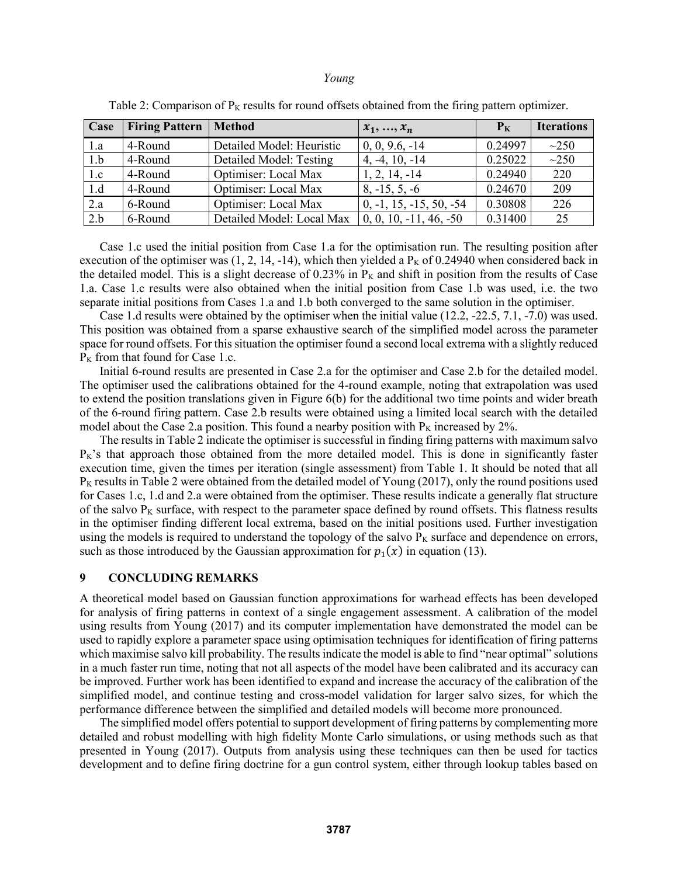| Case | <b>Firing Pattern</b> | <b>Method</b>             | $x_1, , x_n$              | $P_{K}$ | <b>Iterations</b> |
|------|-----------------------|---------------------------|---------------------------|---------|-------------------|
| 1.a  | 4-Round               | Detailed Model: Heuristic | $0, 0, 9.6, -14$          | 0.24997 | $\sim$ 250        |
| 1.b  | 4-Round               | Detailed Model: Testing   | $4, -4, 10, -14$          | 0.25022 | $\sim$ 250        |
| 1.c  | 4-Round               | Optimiser: Local Max      | $1, 2, 14, -14$           | 0.24940 | 220               |
| 1.d  | 4-Round               | Optimiser: Local Max      | $8, -15, 5, -6$           | 0.24670 | 209               |
| 2.a  | 6-Round               | Optimiser: Local Max      | $0, -1, 15, -15, 50, -54$ | 0.30808 | 226               |
| 2.b  | 6-Round               | Detailed Model: Local Max | $0, 0, 10, -11, 46, -50$  | 0.31400 | 25                |

Table 2: Comparison of  $P_K$  results for round offsets obtained from the firing pattern optimizer.

Case 1.c used the initial position from Case 1.a for the optimisation run. The resulting position after execution of the optimiser was  $(1, 2, 14, -14)$ , which then yielded a P<sub>K</sub> of 0.24940 when considered back in the detailed model. This is a slight decrease of  $0.23\%$  in  $P_K$  and shift in position from the results of Case 1.a. Case 1.c results were also obtained when the initial position from Case 1.b was used, i.e. the two separate initial positions from Cases 1.a and 1.b both converged to the same solution in the optimiser.

Case 1.d results were obtained by the optimiser when the initial value (12.2, -22.5, 7.1, -7.0) was used. This position was obtained from a sparse exhaustive search of the simplified model across the parameter space for round offsets. For this situation the optimiser found a second local extrema with a slightly reduced  $P<sub>K</sub>$  from that found for Case 1.c.

Initial 6-round results are presented in Case 2.a for the optimiser and Case 2.b for the detailed model. The optimiser used the calibrations obtained for the 4-round example, noting that extrapolation was used to extend the position translations given in Figure 6(b) for the additional two time points and wider breath of the 6-round firing pattern. Case 2.b results were obtained using a limited local search with the detailed model about the Case 2.a position. This found a nearby position with  $P<sub>K</sub>$  increased by 2%.

The results in Table 2 indicate the optimiser is successful in finding firing patterns with maximum salvo  $P_K$ 's that approach those obtained from the more detailed model. This is done in significantly faster execution time, given the times per iteration (single assessment) from Table 1. It should be noted that all  $P<sub>K</sub>$  results in Table 2 were obtained from the detailed model of Young (2017), only the round positions used for Cases 1.c, 1.d and 2.a were obtained from the optimiser. These results indicate a generally flat structure of the salvo  $P_K$  surface, with respect to the parameter space defined by round offsets. This flatness results in the optimiser finding different local extrema, based on the initial positions used. Further investigation using the models is required to understand the topology of the salvo  $P_K$  surface and dependence on errors, such as those introduced by the Gaussian approximation for  $p_1(x)$  in equation (13).

# **9 CONCLUDING REMARKS**

A theoretical model based on Gaussian function approximations for warhead effects has been developed for analysis of firing patterns in context of a single engagement assessment. A calibration of the model using results from Young (2017) and its computer implementation have demonstrated the model can be used to rapidly explore a parameter space using optimisation techniques for identification of firing patterns which maximise salvo kill probability. The results indicate the model is able to find "near optimal" solutions in a much faster run time, noting that not all aspects of the model have been calibrated and its accuracy can be improved. Further work has been identified to expand and increase the accuracy of the calibration of the simplified model, and continue testing and cross-model validation for larger salvo sizes, for which the performance difference between the simplified and detailed models will become more pronounced.

The simplified model offers potential to support development of firing patterns by complementing more detailed and robust modelling with high fidelity Monte Carlo simulations, or using methods such as that presented in Young (2017). Outputs from analysis using these techniques can then be used for tactics development and to define firing doctrine for a gun control system, either through lookup tables based on